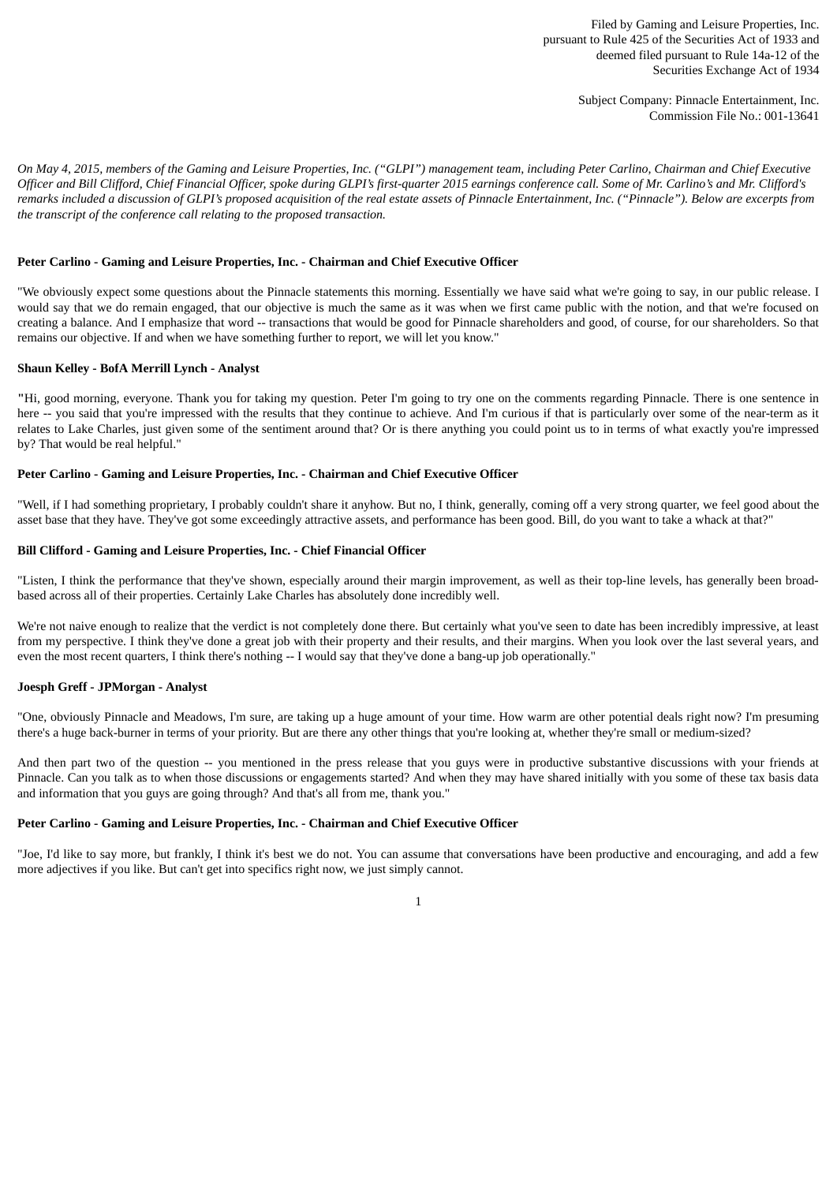Filed by Gaming and Leisure Properties, Inc. pursuant to Rule 425 of the Securities Act of 1933 and deemed filed pursuant to Rule 14a-12 of the Securities Exchange Act of 1934

> Subject Company: Pinnacle Entertainment, Inc. Commission File No.: 001-13641

On May 4, 2015, members of the Gaming and Leisure Properties, Inc. ("GLPI") management team, including Peter Carlino, Chairman and Chief Executive Officer and Bill Clifford, Chief Financial Officer, spoke during GLPI's first-quarter 2015 earnings conference call. Some of Mr. Carlino's and Mr. Clifford's remarks included a discussion of GLPI's proposed acquisition of the real estate assets of Pinnacle Entertainment, Inc. ("Pinnacle"). Below are excerpts from *the transcript of the conference call relating to the proposed transaction.*

#### **Peter Carlino - Gaming and Leisure Properties, Inc. - Chairman and Chief Executive Officer**

"We obviously expect some questions about the Pinnacle statements this morning. Essentially we have said what we're going to say, in our public release. I would say that we do remain engaged, that our objective is much the same as it was when we first came public with the notion, and that we're focused on creating a balance. And I emphasize that word -- transactions that would be good for Pinnacle shareholders and good, of course, for our shareholders. So that remains our objective. If and when we have something further to report, we will let you know."

### **Shaun Kelley - BofA Merrill Lynch - Analyst**

**"**Hi, good morning, everyone. Thank you for taking my question. Peter I'm going to try one on the comments regarding Pinnacle. There is one sentence in here -- you said that you're impressed with the results that they continue to achieve. And I'm curious if that is particularly over some of the near-term as it relates to Lake Charles, just given some of the sentiment around that? Or is there anything you could point us to in terms of what exactly you're impressed by? That would be real helpful."

#### **Peter Carlino - Gaming and Leisure Properties, Inc. - Chairman and Chief Executive Officer**

"Well, if I had something proprietary, I probably couldn't share it anyhow. But no, I think, generally, coming off a very strong quarter, we feel good about the asset base that they have. They've got some exceedingly attractive assets, and performance has been good. Bill, do you want to take a whack at that?"

# **Bill Clifford - Gaming and Leisure Properties, Inc. - Chief Financial Officer**

"Listen, I think the performance that they've shown, especially around their margin improvement, as well as their top-line levels, has generally been broadbased across all of their properties. Certainly Lake Charles has absolutely done incredibly well.

We're not naive enough to realize that the verdict is not completely done there. But certainly what you've seen to date has been incredibly impressive, at least from my perspective. I think they've done a great job with their property and their results, and their margins. When you look over the last several years, and even the most recent quarters, I think there's nothing -- I would say that they've done a bang-up job operationally."

#### **Joesph Greff - JPMorgan - Analyst**

"One, obviously Pinnacle and Meadows, I'm sure, are taking up a huge amount of your time. How warm are other potential deals right now? I'm presuming there's a huge back-burner in terms of your priority. But are there any other things that you're looking at, whether they're small or medium-sized?

And then part two of the question -- you mentioned in the press release that you guys were in productive substantive discussions with your friends at Pinnacle. Can you talk as to when those discussions or engagements started? And when they may have shared initially with you some of these tax basis data and information that you guys are going through? And that's all from me, thank you."

#### **Peter Carlino - Gaming and Leisure Properties, Inc. - Chairman and Chief Executive Officer**

"Joe, I'd like to say more, but frankly, I think it's best we do not. You can assume that conversations have been productive and encouraging, and add a few more adjectives if you like. But can't get into specifics right now, we just simply cannot.

1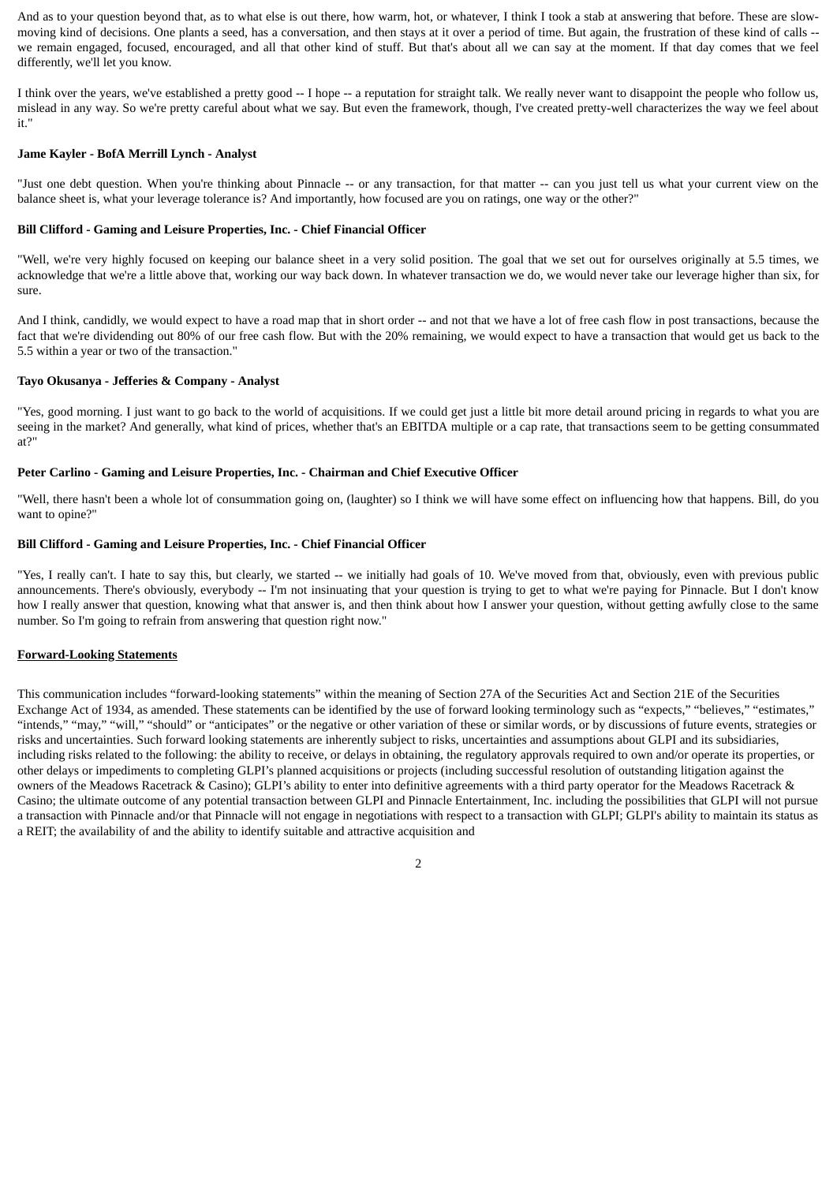And as to your question beyond that, as to what else is out there, how warm, hot, or whatever, I think I took a stab at answering that before. These are slowmoving kind of decisions. One plants a seed, has a conversation, and then stays at it over a period of time. But again, the frustration of these kind of calls - we remain engaged, focused, encouraged, and all that other kind of stuff. But that's about all we can say at the moment. If that day comes that we feel differently, we'll let you know.

I think over the years, we've established a pretty good -- I hope -- a reputation for straight talk. We really never want to disappoint the people who follow us, mislead in any way. So we're pretty careful about what we say. But even the framework, though, I've created pretty-well characterizes the way we feel about it."

# **Jame Kayler - BofA Merrill Lynch - Analyst**

"Just one debt question. When you're thinking about Pinnacle -- or any transaction, for that matter -- can you just tell us what your current view on the balance sheet is, what your leverage tolerance is? And importantly, how focused are you on ratings, one way or the other?"

### **Bill Clifford - Gaming and Leisure Properties, Inc. - Chief Financial Officer**

"Well, we're very highly focused on keeping our balance sheet in a very solid position. The goal that we set out for ourselves originally at 5.5 times, we acknowledge that we're a little above that, working our way back down. In whatever transaction we do, we would never take our leverage higher than six, for sure.

And I think, candidly, we would expect to have a road map that in short order -- and not that we have a lot of free cash flow in post transactions, because the fact that we're dividending out 80% of our free cash flow. But with the 20% remaining, we would expect to have a transaction that would get us back to the 5.5 within a year or two of the transaction."

### **Tayo Okusanya - Jefferies & Company - Analyst**

"Yes, good morning. I just want to go back to the world of acquisitions. If we could get just a little bit more detail around pricing in regards to what you are seeing in the market? And generally, what kind of prices, whether that's an EBITDA multiple or a cap rate, that transactions seem to be getting consummated at?"

### **Peter Carlino - Gaming and Leisure Properties, Inc. - Chairman and Chief Executive Officer**

"Well, there hasn't been a whole lot of consummation going on, (laughter) so I think we will have some effect on influencing how that happens. Bill, do you want to opine?"

# **Bill Clifford - Gaming and Leisure Properties, Inc. - Chief Financial Officer**

"Yes, I really can't. I hate to say this, but clearly, we started -- we initially had goals of 10. We've moved from that, obviously, even with previous public announcements. There's obviously, everybody -- I'm not insinuating that your question is trying to get to what we're paying for Pinnacle. But I don't know how I really answer that question, knowing what that answer is, and then think about how I answer your question, without getting awfully close to the same number. So I'm going to refrain from answering that question right now."

#### **Forward-Looking Statements**

This communication includes "forward-looking statements" within the meaning of Section 27A of the Securities Act and Section 21E of the Securities Exchange Act of 1934, as amended. These statements can be identified by the use of forward looking terminology such as "expects," "believes," "estimates," "intends," "may," "will," "should" or "anticipates" or the negative or other variation of these or similar words, or by discussions of future events, strategies or risks and uncertainties. Such forward looking statements are inherently subject to risks, uncertainties and assumptions about GLPI and its subsidiaries, including risks related to the following: the ability to receive, or delays in obtaining, the regulatory approvals required to own and/or operate its properties, or other delays or impediments to completing GLPI's planned acquisitions or projects (including successful resolution of outstanding litigation against the owners of the Meadows Racetrack & Casino); GLPI's ability to enter into definitive agreements with a third party operator for the Meadows Racetrack & Casino; the ultimate outcome of any potential transaction between GLPI and Pinnacle Entertainment, Inc. including the possibilities that GLPI will not pursue a transaction with Pinnacle and/or that Pinnacle will not engage in negotiations with respect to a transaction with GLPI; GLPI's ability to maintain its status as a REIT; the availability of and the ability to identify suitable and attractive acquisition and